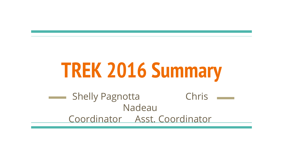# **TREK 2016 Summary**

Shelly Pagnotta Chris Nadeau Coordinator Asst. Coordinator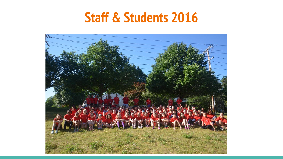### **Staff & Students 2016**

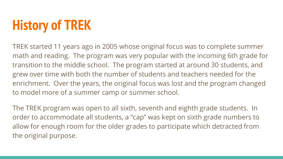# **History of TREK**

TREK started 11 years ago in 2005 whose original focus was to complete summer math and reading. The program was very popular with the incoming 6th grade for transition to the middle school. The program started at around 30 students, and grew over time with both the number of students and teachers needed for the enrichment. Over the years, the original focus was lost and the program changed to model more of a summer camp or summer school.

The TREK program was open to all sixth, seventh and eighth grade students. In order to accommodate all students, a "cap" was kept on sixth grade numbers to allow for enough room for the older grades to participate which detracted from the original purpose.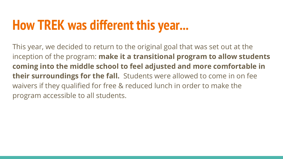### **How TREK was different this year...**

This year, we decided to return to the original goal that was set out at the inception of the program: **make it a transitional program to allow students coming into the middle school to feel adjusted and more comfortable in their surroundings for the fall.** Students were allowed to come in on fee waivers if they qualified for free & reduced lunch in order to make the program accessible to all students.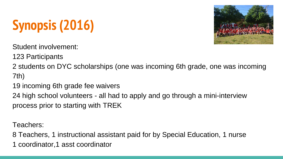# **Synopsis (2016)**



123 Participants

2 students on DYC scholarships (one was incoming 6th grade, one was incoming 7th)

19 incoming 6th grade fee waivers

24 high school volunteers - all had to apply and go through a mini-interview process prior to starting with TREK

Teachers:

8 Teachers, 1 instructional assistant paid for by Special Education, 1 nurse 1 coordinator,1 asst coordinator

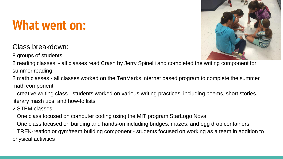### **What went on:**

#### Class breakdown:

8 groups of students



2 reading classes - all classes read Crash by Jerry Spinelli and completed the writing component for summer reading

2 math classes - all classes worked on the TenMarks internet based program to complete the summer math component

1 creative writing class - students worked on various writing practices, including poems, short stories, literary mash ups, and how-to lists

2 STEM classes -

One class focused on computer coding using the MIT program StarLogo Nova

One class focused on building and hands-on including bridges, mazes, and egg drop containers

1 TREK-reation or gym/team building component - students focused on working as a team in addition to physical activities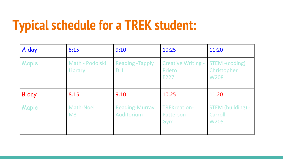## **Typical schedule for a TREK student:**

| A day | 8:15                        | 9:10                                 | 10:25                                       | 11:20                                        |
|-------|-----------------------------|--------------------------------------|---------------------------------------------|----------------------------------------------|
| Maple | Math - Podolski<br>Library  | <b>Reading -Tapply</b><br><b>DLL</b> | <b>Creative Writing -</b><br>Prieto<br>E227 | STEM -(coding)<br>Christopher<br><b>W208</b> |
| B day | 8:15                        | 9:10                                 | 10:25                                       | 11:20                                        |
| Maple | Math-Noel<br>M <sub>3</sub> | <b>Reading-Murray</b><br>Auditorium  | TREKreation-<br>Patterson<br>Gym            | STEM (building) -<br>Carroll<br><b>W205</b>  |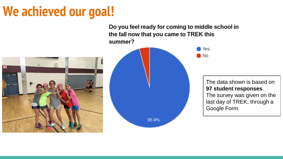### **We achieved our goal!**

Do you feel ready for coming to middle school in the fall now that you came to TREK this summer?





The data shown is based on **97 student responses**.

The survey was given on the last day of TREK, through a Google Form.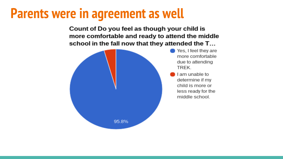### **Parents were in agreement as well**

Count of Do you feel as though your child is more comfortable and ready to attend the middle school in the fall now that they attended the T...

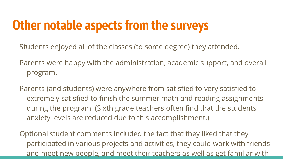### **Other notable aspects from the surveys**

Students enjoyed all of the classes (to some degree) they attended.

Parents were happy with the administration, academic support, and overall program.

Parents (and students) were anywhere from satisfied to very satisfied to extremely satisfied to finish the summer math and reading assignments during the program. (Sixth grade teachers often find that the students anxiety levels are reduced due to this accomplishment.)

Optional student comments included the fact that they liked that they participated in various projects and activities, they could work with friends and meet new people, and meet their teachers as well as get familiar with